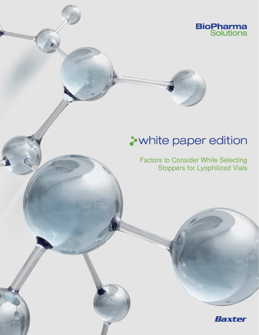

# **>white paper edition**

j

Factors to Consider While Selecting Stoppers for Lyophilized Vials

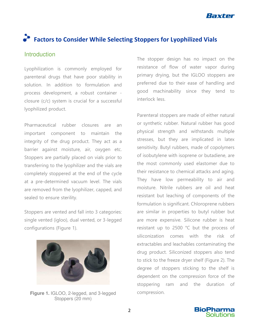

# **Factors to Consider While Selecting Stoppers for Lyophilized Vials**

## **Introduction**

Lyophilization is commonly employed for parenteral drugs that have poor stability in solution. In addition to formulation and process development, a robust container closure (c/c) system is crucial for a successful lyophilized product.

Pharmaceutical rubber closures are an important component to maintain the integrity of the drug product. They act as a barrier against moisture, air, oxygen etc. Stoppers are partially placed on vials prior to transferring to the lyophilizer and the vials are completely stoppered at the end of the cycle at a pre-determined vacuum level. The vials are removed from the lyophilizer, capped, and sealed to ensure sterility.

Stoppers are vented and fall into 3 categories: single vented (igloo), dual vented, or 3-legged configurations (Figure 1).



**Figure 1.** IGLOO, 2-legged, and 3-legged Stoppers (20 mm)

The stopper design has no impact on the resistance of flow of water vapor during primary drying, but the IGLOO stoppers are preferred due to their ease of handling and good machinability since they tend to interlock less.

Parenteral stoppers are made of either natural or synthetic rubber. Natural rubber has good physical strength and withstands multiple stresses, but they are implicated in latex sensitivity. Butyl rubbers, made of copolymers of isobutylene with isoprene or butadiene, are the most commonly used elastomer due to their resistance to chemical attacks and aging. They have low permeability to air and moisture. Nitrile rubbers are oil and heat resistant but leaching of components of the formulation is significant. Chloroprene rubbers are similar in properties to butyl rubber but are more expensive. Silicone rubber is heat resistant up to 2500 °C but the process of siliconization comes with the risk of extractables and leachables contaminating the drug product. Siliconized stoppers also tend to stick to the freeze dryer shelf (Figure 2). The degree of stoppers sticking to the shelf is dependent on the compression force of the stoppering ram and the duration of compression.

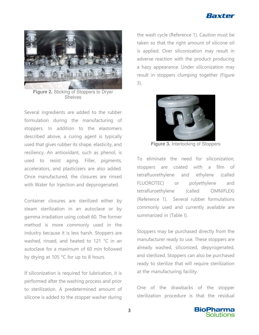



**Figure 2.** Sticking of Stoppers to Dryer **Shelves** 

Several ingredients are added to the rubber formulation during the manufacturing of stoppers. In addition to the elastomers described above, a curing agent is typically used that gives rubber its shape, elasticity, and resiliency. An antioxidant, such as phenol, is used to resist aging. Filler, pigments, accelerators, and plasticizers are also added. Once manufactured, the closures are rinsed with Water for Injection and depyrogenated.

Container closures are sterilized either by steam sterilization in an autoclave or by gamma irradiation using cobalt 60. The former method is more commonly used in the industry because it is less harsh. Stoppers are washed, rinsed, and heated to 121 °C in an autoclave for a maximum of 60 min followed by drying at 105 °C for up to 8 hours.

If siliconization is required for lubrication, it is performed after the washing process and prior to sterilization. A predetermined amount of silicone is added to the stopper washer during

the wash cycle (Reference 1). Caution must be taken so that the right amount of silicone oil is applied. Over siliconization may result in adverse reaction with the product producing a hazy appearance. Under siliconization may result in stoppers clumping together (Figure 3).



**Figure 3.** Interlocking of Stoppers

To eliminate the need for siliconization, stoppers are coated with a film of tetrafluorethylene and ethylene (called FLUOROTEC) or polyethylene and tetrafluroethylene (called OMNIFLEX) (Reference 1). Several rubber formulations commonly used and currently available are summarized in (Table I).

Stoppers may be purchased directly from the manufacturer ready to use. These stoppers are already washed, siliconized, depyrogenated, and sterilized. Stoppers can also be purchased ready to sterilize that will require sterilization at the manufacturing facility.

One of the drawbacks of the stopper sterilization procedure is that the residual

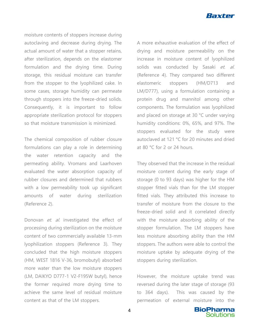

moisture contents of stoppers increase during autoclaving and decrease during drying. The actual amount of water that a stopper retains, after sterilization, depends on the elastomer formulation and the drying time. During storage, this residual moisture can transfer from the stopper to the lyophilized cake. In some cases, storage humidity can permeate through stoppers into the freeze-dried solids. Consequently, it is important to follow appropriate sterilization protocol for stoppers so that moisture transmission is minimized.

The chemical composition of rubber closure formulations can play a role in determining the water retention capacity and the permeating ability. Vromans and Laarhoven evaluated the water absorption capacity of rubber closures and determined that rubbers with a low permeability took up significant amounts of water during sterilization (Reference 2).

Donovan et. al. investigated the effect of processing during sterilization on the moisture content of two commercially available 13-mm lyophilization stoppers (Reference 3). They concluded that the high moisture stoppers (HM, WEST 1816 V-36, bromobutyl) absorbed more water than the low moisture stoppers (LM, DAIKYO D777-1 V2-F195W butyl), hence the former required more drying time to achieve the same level of residual moisture content as that of the LM stoppers.

A more exhaustive evaluation of the effect of drying and moisture permeability on the increase in moisture content of lyophilized solids was conducted by Sasaki et. al. (Reference 4). They compared two different elastomeric stoppers (HM/D713 and LM/D777), using a formulation containing a protein drug and mannitol among other components. The formulation was lyophilized and placed on storage at 30 °C under varying humidity conditions: 0%, 65%, and 97%. The stoppers evaluated for the study were autoclaved at 121 °C for 20 minutes and dried at 80 °C for 2 or 24 hours.

They observed that the increase in the residual moisture content during the early stage of storage (0 to 93 days) was higher for the HM stopper fitted vials than for the LM stopper fitted vials. They attributed this increase to transfer of moisture from the closure to the freeze-dried solid and it correlated directly with the moisture absorbing ability of the stopper formulation. The LM stoppers have less moisture absorbing ability than the HM stoppers. The authors were able to control the moisture uptake by adequate drying of the stoppers during sterilization.

However, the moisture uptake trend was reversed during the later stage of storage (93 to 364 days). This was caused by the permeation of external moisture into the

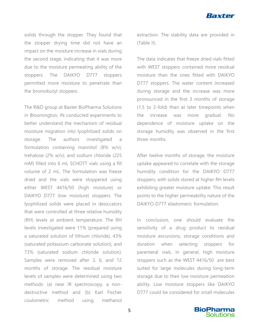

solids through the stopper. They found that the stopper drying time did not have an impact on the moisture increase in vials during the second stage, indicating that it was more due to the moisture permeating ability of the stoppers. The DAIKYO D777 stoppers permitted more moisture to penetrate than the bromobutyl stoppers.

The R&D group at Baxter BioPharma Solutions in Bloomington, IN conducted experiments to better understand the mechanism of residual moisture migration into lyophilized solids on storage. The authors investigated a formulation containing mannitol (8% w/v), trehalose (2% w/v), and sodium chloride (225 mM) filled into 6 mL SCHOTT vials using a fill volume of 2 mL. The formulation was freeze dried and the vials were stoppered using either WEST 4416/50 (high moisture) or DAIKYO D777 (low moisture) stoppers. The lyophilized solids were placed in desiccators that were controlled at three relative humidity (RH) levels at ambient temperature. The RH levels investigated were 11% (prepared using a saturated solution of lithium chloride), 43% (saturated potassium carbonate solution), and 73% (saturated sodium chloride solution). Samples were removed after 3, 6, and 12 months of storage. The residual moisture levels of samples were determined using two methods: (a) near IR spectroscopy, a nondestructive method and (b) Karl Fischer coulometric method using methanol

extraction. The stability data are provided in (Table II).

The data indicates that freeze dried vials fitted with WEST stoppers contained more residual moisture than the ones fitted with DAIKYO D777 stoppers. The water content increased during storage and the increase was more pronounced in the first 3 months of storage (1.5 to 2-fold) than at later timepoints when the increase was more gradual. No dependence of moisture uptake on the storage humidity was observed in the first three months.

After twelve months of storage, the moisture uptake appeared to correlate with the storage humidity condition for the DAIKYO D777 stoppers, with solids stored at higher RH levels exhibiting greater moisture uptake. This result points to the higher permeability nature of the DAIKYO D777 elastomeric formulation.

In conclusion, one should evaluate the sensitivity of a drug product to residual moisture excursions, storage conditions and duration when selecting stoppers for parenteral vials. In general, high moisture stoppers such as the WEST 4416/50 are best suited for large molecules during long-term storage due to their low moisture permeation ability. Low moisture stoppers like DAIKYO D777 could be considered for small molecules

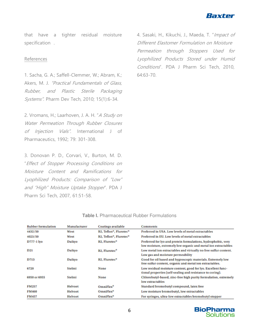

that have a tighter residual moisture specification .

### References

1. Sacha, G. A.; Saffell-Clemmer, W.; Abram, K.; Akers, M. J. "Practical Fundamentals of Glass, Rubber, and Plastic Sterile Packaging Systems". Pharm Dev Tech, 2010; 15(1):6-34.

2. Vromans, H.; Laarhoven, J. A. H. "A Study on Water Permeation Through Rubber Closures of *Injection Vials"*. International J of Pharmaceutics, 1992; 79: 301-308.

3. Donovan P. D., Corvari, V., Burton, M. D. "Effect of Stopper Processing Conditions on Moisture Content and Ramifications for Lyophilized Products: Comparison of "Low" and "High" Moisture Uptake Stopper". PDA J Pharm Sci Tech, 2007, 61:51-58.

4. Sasaki, H., Kikuchi, J., Maeda, T. "Impact of Different Elastomer Formulation on Moisture Permeation through Stoppers Used for Lyophilized Products Stored under Humid Conditions". PDA J Pharm Sci Tech, 2010, 64:63-70.

| <b>Rubber formulation</b> | Manufacturer   | <b>Coatings available</b>                                                                                                                               | <b>Comments</b>                                                                                                            |  |  |
|---------------------------|----------------|---------------------------------------------------------------------------------------------------------------------------------------------------------|----------------------------------------------------------------------------------------------------------------------------|--|--|
| 4432/50                   | West           | B2. Teflon®, Flurotec®                                                                                                                                  | Preferred in USA. Low levels of metal extractables                                                                         |  |  |
| 4023/50                   | West           | B2, Teflon®, Flurotec®                                                                                                                                  | Preferred in EU. Low levels of metal extractables                                                                          |  |  |
| D777-1 lyo                | Daikyo         | <b>B2. Flurotec®</b><br>Preferred for lyo and protein formulations, hydrophobic, very<br>low moisture, extremely low organic and metal ion extractables |                                                                                                                            |  |  |
| D <sub>21</sub>           | Daikyo         | <b>B2</b> , Flurotec <sup>®</sup>                                                                                                                       | Low metal ion extractables and virtually no free sulfur content.<br>Low gas and moisture permeability                      |  |  |
| D713                      | Daikyo         | <b>B2, Flurotec®</b>                                                                                                                                    | Good for oil based and hygroscopic materials. Extremely low<br>free sulfur content, organic and metal ion extractables.    |  |  |
| 6720                      | Stelmi         | None                                                                                                                                                    | Low residual moisture content, good for lyo. Excellent func-<br>tional properties (self-sealing and resistance to coring). |  |  |
| 6950 or 6955              | Stelmi         | <b>None</b>                                                                                                                                             | Chlorobutyl-based, zinc-free high purity formulation, extremely<br>low extractables                                        |  |  |
| <b>FM257</b>              | <b>Helvoet</b> | OmniFlex <sup>®</sup>                                                                                                                                   | Standard bromobutyl compound, latex free                                                                                   |  |  |
| <b>FM460</b>              | <b>Helvoet</b> | OmniFlex <sup>®</sup>                                                                                                                                   | Low moisture bromobutyl, low extractables                                                                                  |  |  |
| <b>FM457</b>              | <b>Helvoet</b> | OmniFlex <sup>®</sup>                                                                                                                                   | For syringes, ultra-low extractables bromobutyl stopper                                                                    |  |  |

#### **Table I.** Pharmaceutical Rubber Formulations